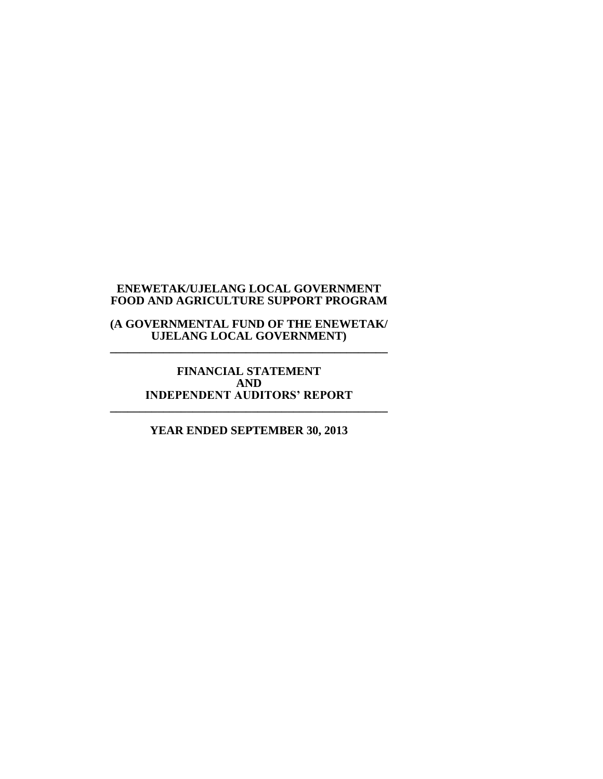**(A GOVERNMENTAL FUND OF THE ENEWETAK/ UJELANG LOCAL GOVERNMENT) \_\_\_\_\_\_\_\_\_\_\_\_\_\_\_\_\_\_\_\_\_\_\_\_\_\_\_\_\_\_\_\_\_\_\_\_\_\_\_\_\_\_\_\_\_\_\_**

**FINANCIAL STATEMENT AND INDEPENDENT AUDITORS' REPORT \_\_\_\_\_\_\_\_\_\_\_\_\_\_\_\_\_\_\_\_\_\_\_\_\_\_\_\_\_\_\_\_\_\_\_\_\_\_\_\_\_\_\_\_\_\_\_**

**YEAR ENDED SEPTEMBER 30, 2013**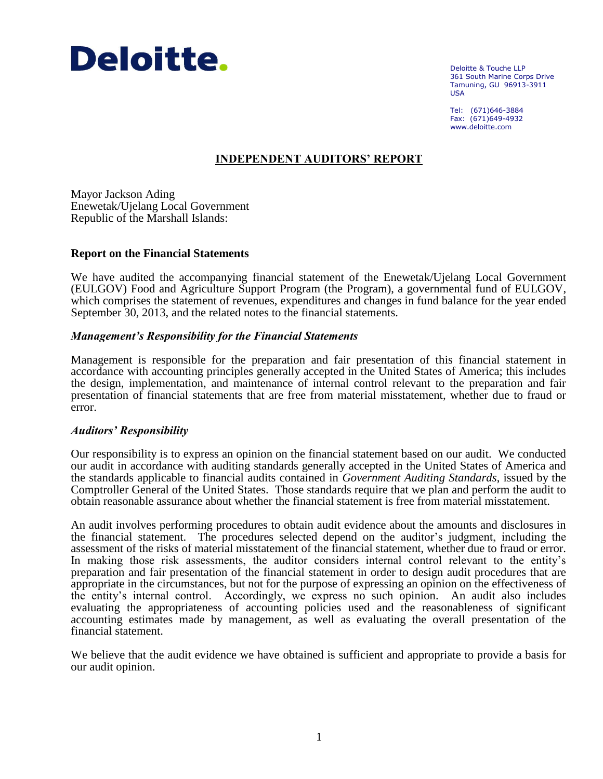

Deloitte & Touche LLP 361 South Marine Corps Drive Tamuning, GU 96913-3911 USA

Tel: (671)646-3884 Fax: (671)649-4932 www.deloitte.com

# **INDEPENDENT AUDITORS' REPORT**

Mayor Jackson Ading Enewetak/Ujelang Local Government Republic of the Marshall Islands:

#### **Report on the Financial Statements**

We have audited the accompanying financial statement of the Enewetak/Ujelang Local Government (EULGOV) Food and Agriculture Support Program (the Program), a governmental fund of EULGOV, which comprises the statement of revenues, expenditures and changes in fund balance for the year ended September 30, 2013, and the related notes to the financial statements.

#### *Management's Responsibility for the Financial Statements*

Management is responsible for the preparation and fair presentation of this financial statement in accordance with accounting principles generally accepted in the United States of America; this includes the design, implementation, and maintenance of internal control relevant to the preparation and fair presentation of financial statements that are free from material misstatement, whether due to fraud or error.

#### *Auditors' Responsibility*

Our responsibility is to express an opinion on the financial statement based on our audit. We conducted our audit in accordance with auditing standards generally accepted in the United States of America and the standards applicable to financial audits contained in *Government Auditing Standards*, issued by the Comptroller General of the United States. Those standards require that we plan and perform the audit to obtain reasonable assurance about whether the financial statement is free from material misstatement.

An audit involves performing procedures to obtain audit evidence about the amounts and disclosures in the financial statement. The procedures selected depend on the auditor's judgment, including the assessment of the risks of material misstatement of the financial statement, whether due to fraud or error. In making those risk assessments, the auditor considers internal control relevant to the entity's preparation and fair presentation of the financial statement in order to design audit procedures that are appropriate in the circumstances, but not for the purpose of expressing an opinion on the effectiveness of the entity's internal control. Accordingly, we express no such opinion. An audit also includes evaluating the appropriateness of accounting policies used and the reasonableness of significant accounting estimates made by management, as well as evaluating the overall presentation of the financial statement.

We believe that the audit evidence we have obtained is sufficient and appropriate to provide a basis for our audit opinion.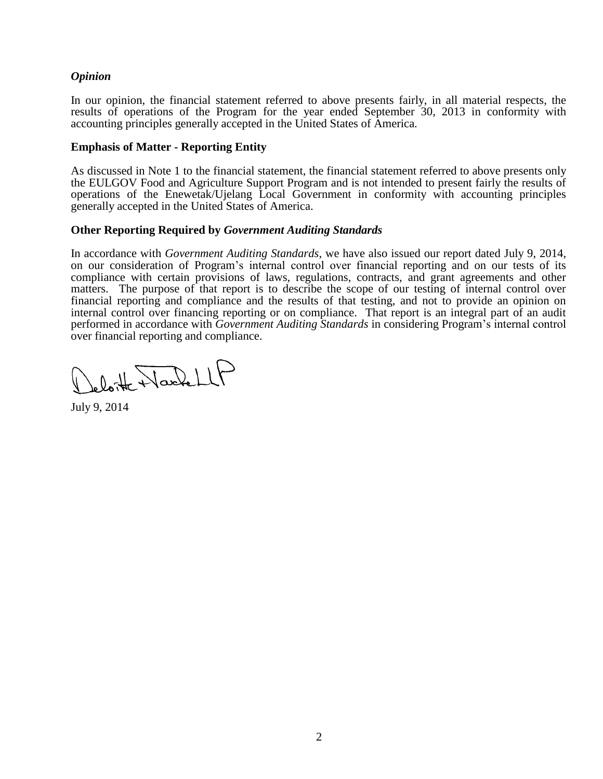## *Opinion*

In our opinion, the financial statement referred to above presents fairly, in all material respects, the results of operations of the Program for the year ended September 30, 2013 in conformity with accounting principles generally accepted in the United States of America.

### **Emphasis of Matter - Reporting Entity**

As discussed in Note 1 to the financial statement, the financial statement referred to above presents only the EULGOV Food and Agriculture Support Program and is not intended to present fairly the results of operations of the Enewetak/Ujelang Local Government in conformity with accounting principles generally accepted in the United States of America.

## **Other Reporting Required by** *Government Auditing Standards*

In accordance with *Government Auditing Standards*, we have also issued our report dated July 9, 2014, on our consideration of Program's internal control over financial reporting and on our tests of its compliance with certain provisions of laws, regulations, contracts, and grant agreements and other matters. The purpose of that report is to describe the scope of our testing of internal control over financial reporting and compliance and the results of that testing, and not to provide an opinion on internal control over financing reporting or on compliance. That report is an integral part of an audit performed in accordance with *Government Auditing Standards* in considering Program's internal control over financial reporting and compliance.

obitte NachellP

July 9, 2014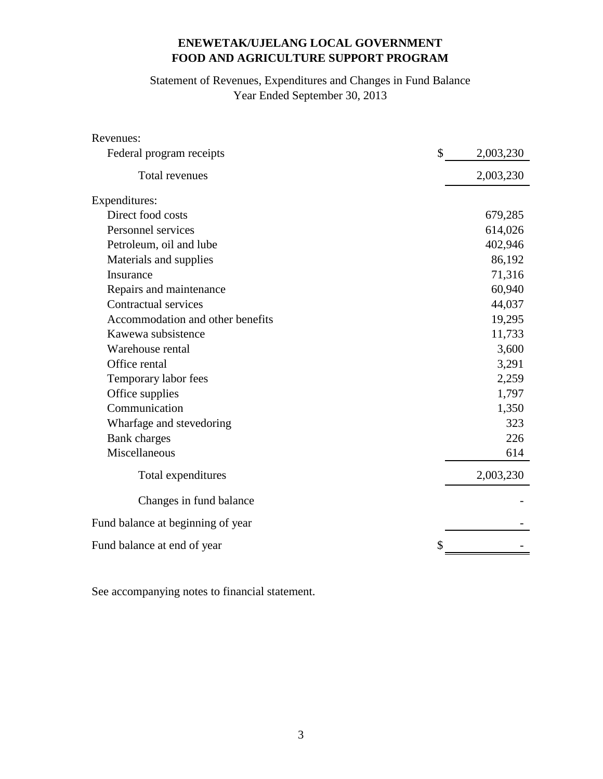# Statement of Revenues, Expenditures and Changes in Fund Balance Year Ended September 30, 2013

| Revenues:                         |           |
|-----------------------------------|-----------|
| \$<br>Federal program receipts    | 2,003,230 |
| Total revenues                    | 2,003,230 |
| Expenditures:                     |           |
| Direct food costs                 | 679,285   |
| Personnel services                | 614,026   |
| Petroleum, oil and lube           | 402,946   |
| Materials and supplies            | 86,192    |
| Insurance                         | 71,316    |
| Repairs and maintenance           | 60,940    |
| Contractual services              | 44,037    |
| Accommodation and other benefits  | 19,295    |
| Kawewa subsistence                | 11,733    |
| Warehouse rental                  | 3,600     |
| Office rental                     | 3,291     |
| Temporary labor fees              | 2,259     |
| Office supplies                   | 1,797     |
| Communication                     | 1,350     |
| Wharfage and stevedoring          | 323       |
| <b>Bank</b> charges               | 226       |
| Miscellaneous                     | 614       |
| Total expenditures                | 2,003,230 |
| Changes in fund balance           |           |
| Fund balance at beginning of year |           |
| Fund balance at end of year       |           |

See accompanying notes to financial statement.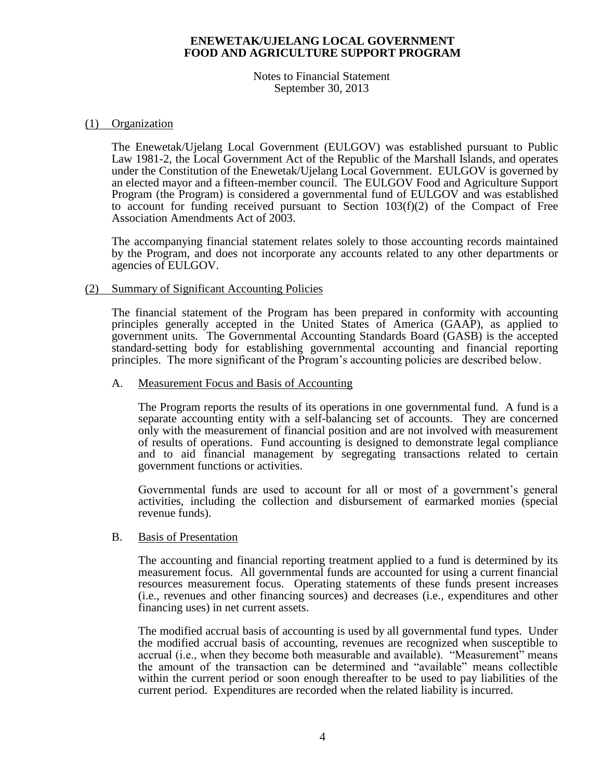Notes to Financial Statement September 30, 2013

#### (1) Organization

The Enewetak/Ujelang Local Government (EULGOV) was established pursuant to Public Law 1981-2, the Local Government Act of the Republic of the Marshall Islands, and operates under the Constitution of the Enewetak/Ujelang Local Government. EULGOV is governed by an elected mayor and a fifteen-member council. The EULGOV Food and Agriculture Support Program (the Program) is considered a governmental fund of EULGOV and was established to account for funding received pursuant to Section  $103(f)(2)$  of the Compact of Free Association Amendments Act of 2003.

The accompanying financial statement relates solely to those accounting records maintained by the Program, and does not incorporate any accounts related to any other departments or agencies of EULGOV.

#### (2) Summary of Significant Accounting Policies

The financial statement of the Program has been prepared in conformity with accounting principles generally accepted in the United States of America (GAAP), as applied to government units. The Governmental Accounting Standards Board (GASB) is the accepted standard-setting body for establishing governmental accounting and financial reporting principles. The more significant of the Program's accounting policies are described below.

#### A. Measurement Focus and Basis of Accounting

The Program reports the results of its operations in one governmental fund. A fund is a separate accounting entity with a self-balancing set of accounts. They are concerned only with the measurement of financial position and are not involved with measurement of results of operations. Fund accounting is designed to demonstrate legal compliance and to aid financial management by segregating transactions related to certain government functions or activities.

Governmental funds are used to account for all or most of a government's general activities, including the collection and disbursement of earmarked monies (special revenue funds).

## B. Basis of Presentation

The accounting and financial reporting treatment applied to a fund is determined by its measurement focus. All governmental funds are accounted for using a current financial resources measurement focus. Operating statements of these funds present increases (i.e., revenues and other financing sources) and decreases (i.e., expenditures and other financing uses) in net current assets.

The modified accrual basis of accounting is used by all governmental fund types. Under the modified accrual basis of accounting, revenues are recognized when susceptible to accrual (i.e., when they become both measurable and available). "Measurement" means the amount of the transaction can be determined and "available" means collectible within the current period or soon enough thereafter to be used to pay liabilities of the current period. Expenditures are recorded when the related liability is incurred.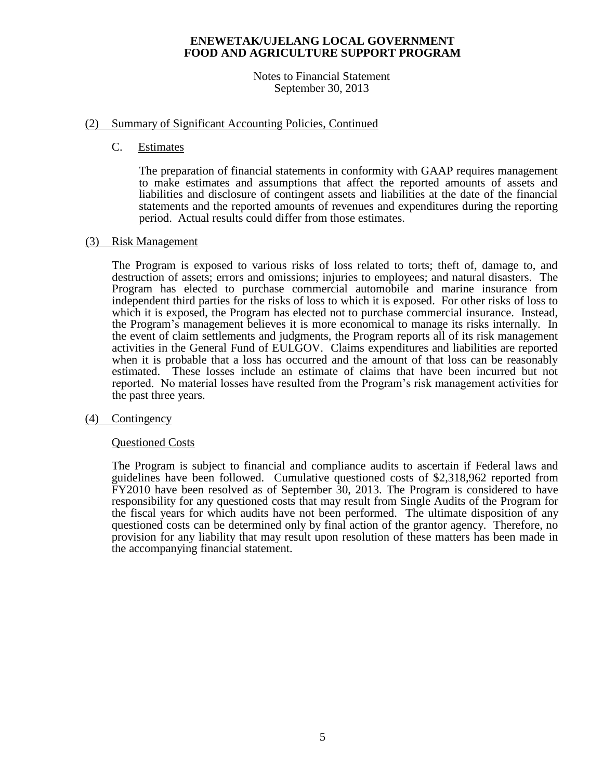#### Notes to Financial Statement September 30, 2013

## (2) Summary of Significant Accounting Policies, Continued

C. Estimates

The preparation of financial statements in conformity with GAAP requires management to make estimates and assumptions that affect the reported amounts of assets and liabilities and disclosure of contingent assets and liabilities at the date of the financial statements and the reported amounts of revenues and expenditures during the reporting period. Actual results could differ from those estimates.

## (3) Risk Management

The Program is exposed to various risks of loss related to torts; theft of, damage to, and destruction of assets; errors and omissions; injuries to employees; and natural disasters. The Program has elected to purchase commercial automobile and marine insurance from independent third parties for the risks of loss to which it is exposed. For other risks of loss to which it is exposed, the Program has elected not to purchase commercial insurance. Instead, the Program's management believes it is more economical to manage its risks internally. In the event of claim settlements and judgments, the Program reports all of its risk management activities in the General Fund of EULGOV. Claims expenditures and liabilities are reported when it is probable that a loss has occurred and the amount of that loss can be reasonably estimated. These losses include an estimate of claims that have been incurred but not reported. No material losses have resulted from the Program's risk management activities for the past three years.

#### (4) Contingency

#### Questioned Costs

The Program is subject to financial and compliance audits to ascertain if Federal laws and guidelines have been followed. Cumulative questioned costs of \$2,318,962 reported from FY2010 have been resolved as of September 30, 2013. The Program is considered to have responsibility for any questioned costs that may result from Single Audits of the Program for the fiscal years for which audits have not been performed. The ultimate disposition of any questioned costs can be determined only by final action of the grantor agency. Therefore, no provision for any liability that may result upon resolution of these matters has been made in the accompanying financial statement.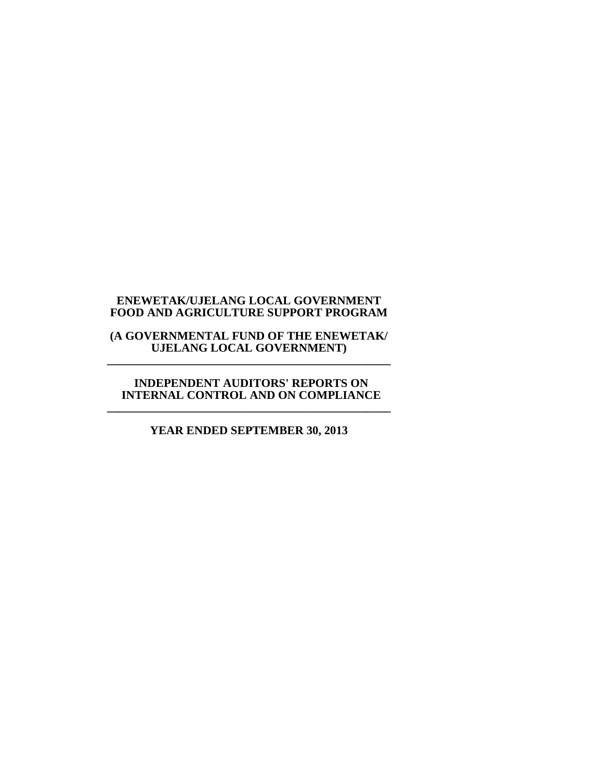#### **(A GOVERNMENTAL FUND OF THE ENEWETAK/ UJELANG LOCAL GOVERNMENT) \_\_\_\_\_\_\_\_\_\_\_\_\_\_\_\_\_\_\_\_\_\_\_\_\_\_\_\_\_\_\_\_\_\_\_\_\_\_\_\_\_\_\_\_\_\_\_\_**

#### **INDEPENDENT AUDITORS' REPORTS ON INTERNAL CONTROL AND ON COMPLIANCE \_\_\_\_\_\_\_\_\_\_\_\_\_\_\_\_\_\_\_\_\_\_\_\_\_\_\_\_\_\_\_\_\_\_\_\_\_\_\_\_\_\_\_\_\_\_\_\_**

# **YEAR ENDED SEPTEMBER 30, 2013**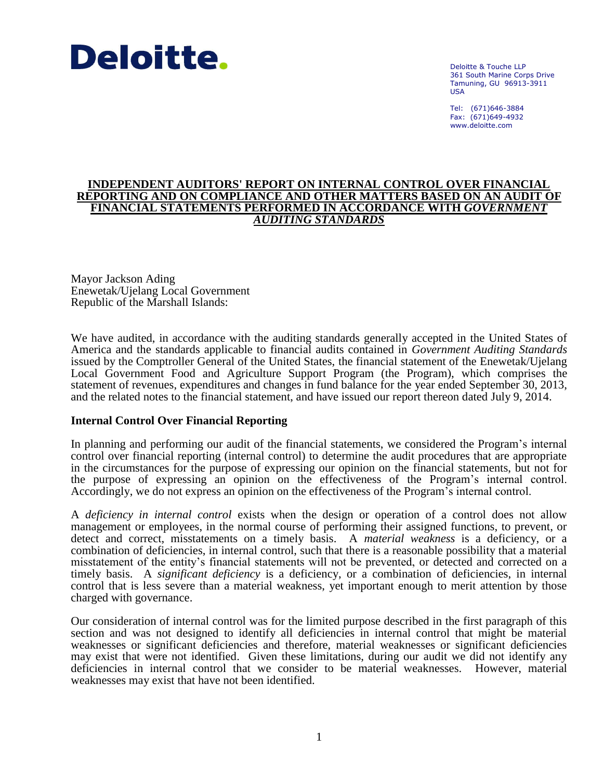

Deloitte & Touche LLP 361 South Marine Corps Drive Tamuning, GU 96913-3911 USA

Tel: (671)646-3884 Fax: (671)649-4932 www.deloitte.com

#### **INDEPENDENT AUDITORS' REPORT ON INTERNAL CONTROL OVER FINANCIAL REPORTING AND ON COMPLIANCE AND OTHER MATTERS BASED ON AN AUDIT OF FINANCIAL STATEMENTS PERFORMED IN ACCORDANCE WITH** *GOVERNMENT AUDITING STANDARDS*

Mayor Jackson Ading Enewetak/Ujelang Local Government Republic of the Marshall Islands:

We have audited, in accordance with the auditing standards generally accepted in the United States of America and the standards applicable to financial audits contained in *Government Auditing Standards* issued by the Comptroller General of the United States, the financial statement of the Enewetak/Ujelang Local Government Food and Agriculture Support Program (the Program), which comprises the statement of revenues, expenditures and changes in fund balance for the year ended September 30, 2013, and the related notes to the financial statement, and have issued our report thereon dated July 9, 2014.

#### **Internal Control Over Financial Reporting**

In planning and performing our audit of the financial statements, we considered the Program's internal control over financial reporting (internal control) to determine the audit procedures that are appropriate in the circumstances for the purpose of expressing our opinion on the financial statements, but not for the purpose of expressing an opinion on the effectiveness of the Program's internal control. Accordingly, we do not express an opinion on the effectiveness of the Program's internal control.

A *deficiency in internal control* exists when the design or operation of a control does not allow management or employees, in the normal course of performing their assigned functions, to prevent, or detect and correct, misstatements on a timely basis. A *material weakness* is a deficiency, or a combination of deficiencies, in internal control, such that there is a reasonable possibility that a material misstatement of the entity's financial statements will not be prevented, or detected and corrected on a timely basis. A *significant deficiency* is a deficiency, or a combination of deficiencies, in internal control that is less severe than a material weakness, yet important enough to merit attention by those charged with governance.

Our consideration of internal control was for the limited purpose described in the first paragraph of this section and was not designed to identify all deficiencies in internal control that might be material weaknesses or significant deficiencies and therefore, material weaknesses or significant deficiencies may exist that were not identified. Given these limitations, during our audit we did not identify any deficiencies in internal control that we consider to be material weaknesses. However, material weaknesses may exist that have not been identified.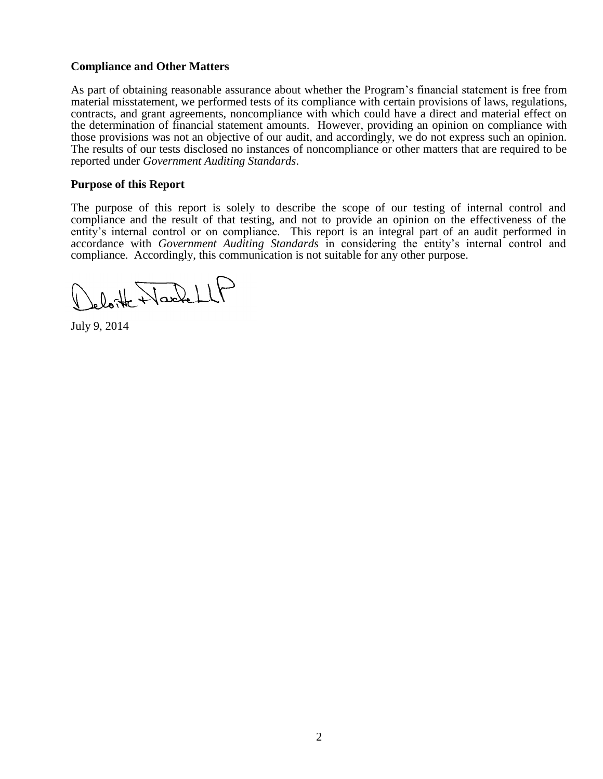## **Compliance and Other Matters**

As part of obtaining reasonable assurance about whether the Program's financial statement is free from material misstatement, we performed tests of its compliance with certain provisions of laws, regulations, contracts, and grant agreements, noncompliance with which could have a direct and material effect on the determination of financial statement amounts. However, providing an opinion on compliance with those provisions was not an objective of our audit, and accordingly, we do not express such an opinion. The results of our tests disclosed no instances of noncompliance or other matters that are required to be reported under *Government Auditing Standards*.

### **Purpose of this Report**

The purpose of this report is solely to describe the scope of our testing of internal control and compliance and the result of that testing, and not to provide an opinion on the effectiveness of the entity's internal control or on compliance. This report is an integral part of an audit performed in accordance with *Government Auditing Standards* in considering the entity's internal control and compliance. Accordingly, this communication is not suitable for any other purpose.

oloite Naschell

July 9, 2014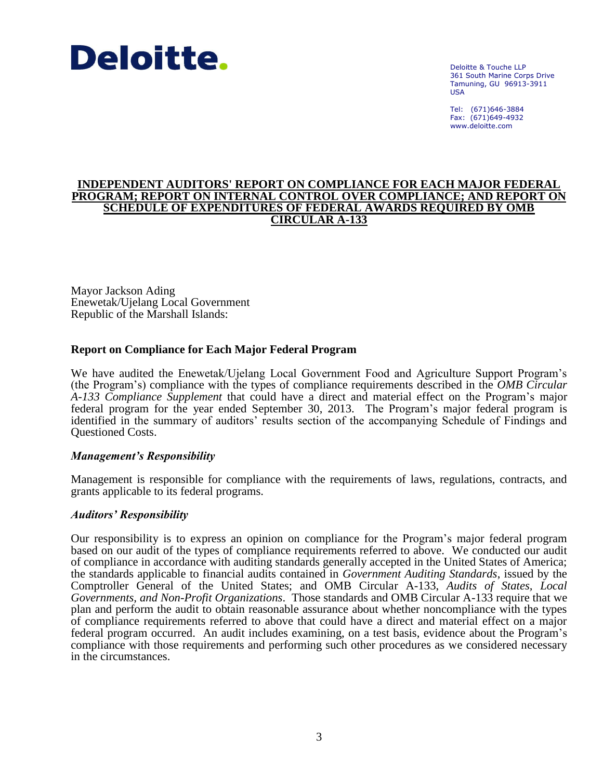

Deloitte & Touche LLP 361 South Marine Corps Drive Tamuning, GU 96913-3911 USA

Tel: (671)646-3884 Fax: (671)649-4932 www.deloitte.com

#### **INDEPENDENT AUDITORS' REPORT ON COMPLIANCE FOR EACH MAJOR FEDERAL PROGRAM; REPORT ON INTERNAL CONTROL OVER COMPLIANCE; AND REPORT ON SCHEDULE OF EXPENDITURES OF FEDERAL AWARDS REQUIRED BY OMB CIRCULAR A-133**

Mayor Jackson Ading Enewetak/Ujelang Local Government Republic of the Marshall Islands:

## **Report on Compliance for Each Major Federal Program**

We have audited the Enewetak/Ujelang Local Government Food and Agriculture Support Program's (the Program's) compliance with the types of compliance requirements described in the *OMB Circular A-133 Compliance Supplement* that could have a direct and material effect on the Program's major federal program for the year ended September 30, 2013. The Program's major federal program is identified in the summary of auditors' results section of the accompanying Schedule of Findings and Questioned Costs.

#### *Management's Responsibility*

Management is responsible for compliance with the requirements of laws, regulations, contracts, and grants applicable to its federal programs.

#### *Auditors' Responsibility*

Our responsibility is to express an opinion on compliance for the Program's major federal program based on our audit of the types of compliance requirements referred to above. We conducted our audit of compliance in accordance with auditing standards generally accepted in the United States of America; the standards applicable to financial audits contained in *Government Auditing Standards*, issued by the Comptroller General of the United States; and OMB Circular A-133, *Audits of States, Local Governments, and Non-Profit Organizations*. Those standards and OMB Circular A-133 require that we plan and perform the audit to obtain reasonable assurance about whether noncompliance with the types of compliance requirements referred to above that could have a direct and material effect on a major federal program occurred. An audit includes examining, on a test basis, evidence about the Program's compliance with those requirements and performing such other procedures as we considered necessary in the circumstances.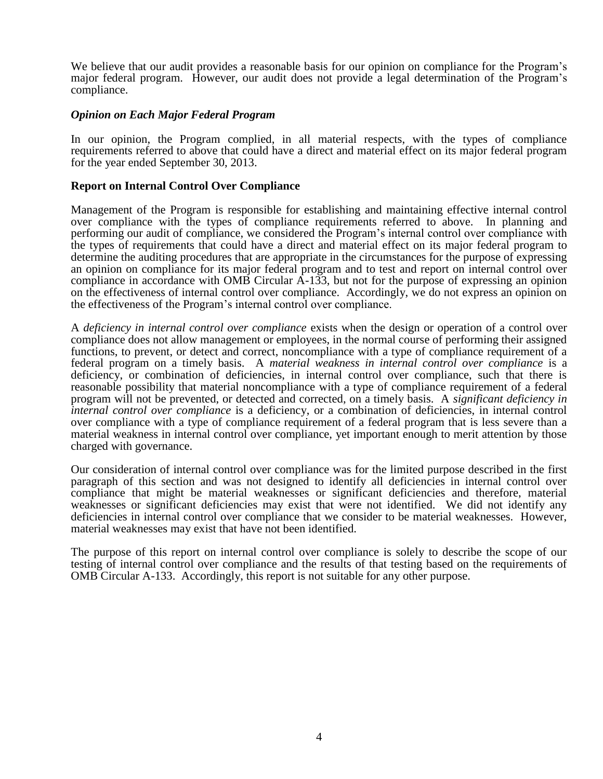We believe that our audit provides a reasonable basis for our opinion on compliance for the Program's major federal program. However, our audit does not provide a legal determination of the Program's compliance.

## *Opinion on Each Major Federal Program*

In our opinion, the Program complied, in all material respects, with the types of compliance requirements referred to above that could have a direct and material effect on its major federal program for the year ended September 30, 2013.

## **Report on Internal Control Over Compliance**

Management of the Program is responsible for establishing and maintaining effective internal control over compliance with the types of compliance requirements referred to above. In planning and performing our audit of compliance, we considered the Program's internal control over compliance with the types of requirements that could have a direct and material effect on its major federal program to determine the auditing procedures that are appropriate in the circumstances for the purpose of expressing an opinion on compliance for its major federal program and to test and report on internal control over compliance in accordance with OMB Circular A-133, but not for the purpose of expressing an opinion on the effectiveness of internal control over compliance. Accordingly, we do not express an opinion on the effectiveness of the Program's internal control over compliance.

A *deficiency in internal control over compliance* exists when the design or operation of a control over compliance does not allow management or employees, in the normal course of performing their assigned functions, to prevent, or detect and correct, noncompliance with a type of compliance requirement of a federal program on a timely basis. A *material weakness in internal control over compliance* is a deficiency, or combination of deficiencies, in internal control over compliance, such that there is reasonable possibility that material noncompliance with a type of compliance requirement of a federal program will not be prevented, or detected and corrected, on a timely basis. A *significant deficiency in internal control over compliance* is a deficiency, or a combination of deficiencies, in internal control over compliance with a type of compliance requirement of a federal program that is less severe than a material weakness in internal control over compliance, yet important enough to merit attention by those charged with governance.

Our consideration of internal control over compliance was for the limited purpose described in the first paragraph of this section and was not designed to identify all deficiencies in internal control over compliance that might be material weaknesses or significant deficiencies and therefore, material weaknesses or significant deficiencies may exist that were not identified. We did not identify any deficiencies in internal control over compliance that we consider to be material weaknesses. However, material weaknesses may exist that have not been identified.

The purpose of this report on internal control over compliance is solely to describe the scope of our testing of internal control over compliance and the results of that testing based on the requirements of OMB Circular A-133. Accordingly, this report is not suitable for any other purpose.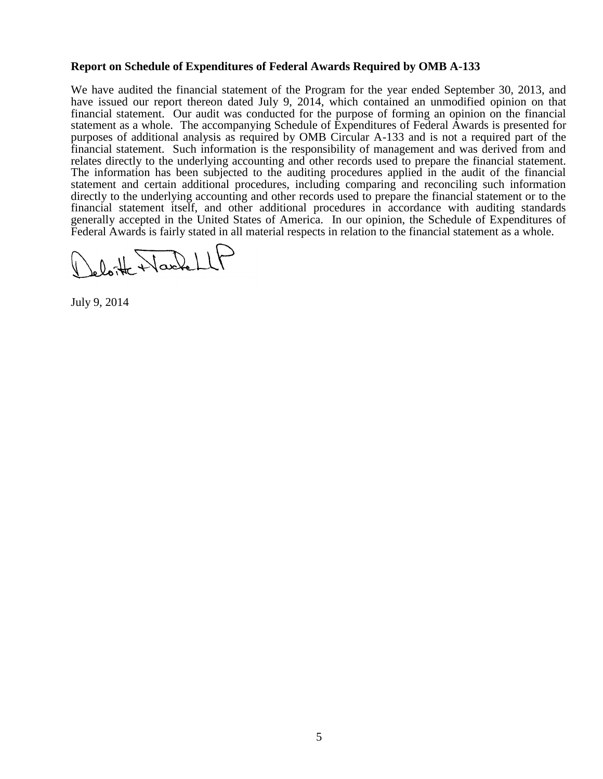## **Report on Schedule of Expenditures of Federal Awards Required by OMB A-133**

We have audited the financial statement of the Program for the year ended September 30, 2013, and have issued our report thereon dated July 9, 2014, which contained an unmodified opinion on that financial statement. Our audit was conducted for the purpose of forming an opinion on the financial statement as a whole. The accompanying Schedule of Expenditures of Federal Awards is presented for purposes of additional analysis as required by OMB Circular A-133 and is not a required part of the financial statement. Such information is the responsibility of management and was derived from and relates directly to the underlying accounting and other records used to prepare the financial statement. The information has been subjected to the auditing procedures applied in the audit of the financial statement and certain additional procedures, including comparing and reconciling such information directly to the underlying accounting and other records used to prepare the financial statement or to the financial statement itself, and other additional procedures in accordance with auditing standards generally accepted in the United States of America. In our opinion, the Schedule of Expenditures of Federal Awards is fairly stated in all material respects in relation to the financial statement as a whole.

oloite Nachell

July 9, 2014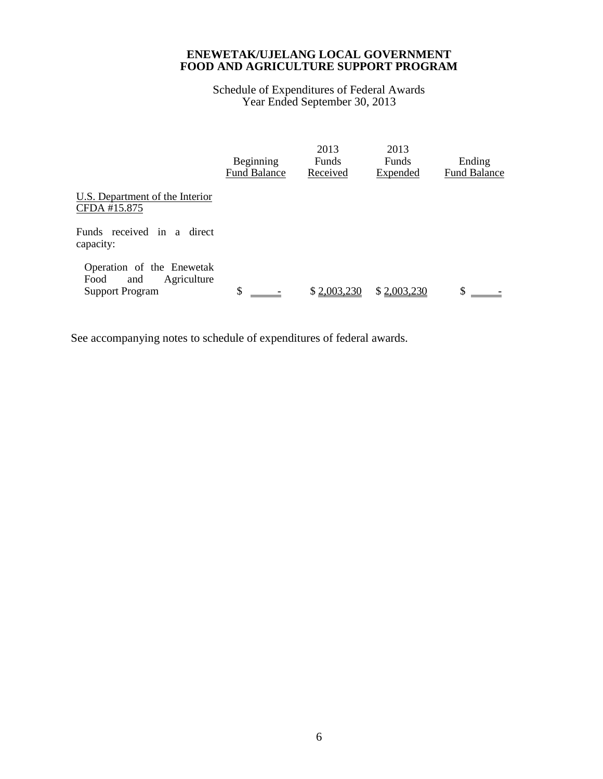Schedule of Expenditures of Federal Awards Year Ended September 30, 2013

|                                                                                   | Beginning<br><b>Fund Balance</b> | 2013<br><b>Funds</b><br>Received | 2013<br><b>Funds</b><br>Expended | Ending<br><b>Fund Balance</b> |
|-----------------------------------------------------------------------------------|----------------------------------|----------------------------------|----------------------------------|-------------------------------|
| U.S. Department of the Interior<br>CFDA #15.875                                   |                                  |                                  |                                  |                               |
| Funds received in a direct<br>capacity:                                           |                                  |                                  |                                  |                               |
| Operation of the Enewetak<br>Food<br>Agriculture<br>and<br><b>Support Program</b> | \$                               | \$2,003,230                      | \$2,003,230                      | S                             |

See accompanying notes to schedule of expenditures of federal awards.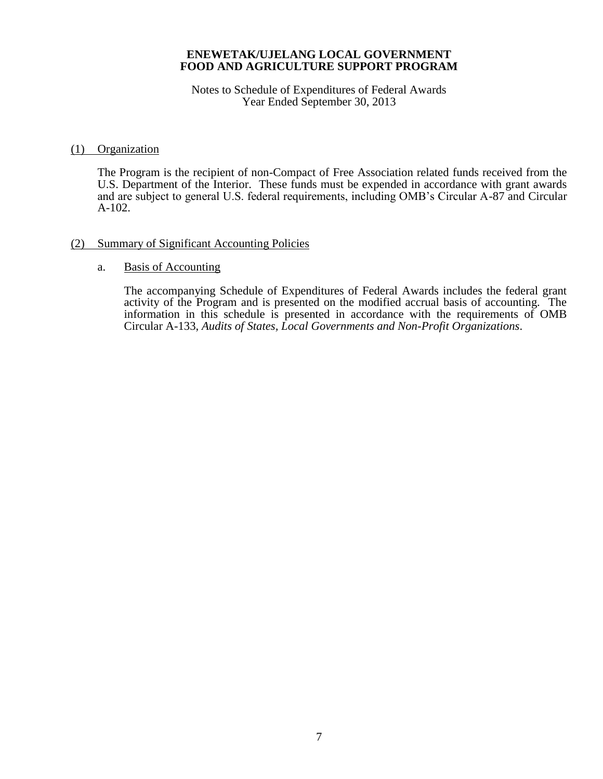Notes to Schedule of Expenditures of Federal Awards Year Ended September 30, 2013

### (1) Organization

The Program is the recipient of non-Compact of Free Association related funds received from the U.S. Department of the Interior. These funds must be expended in accordance with grant awards and are subject to general U.S. federal requirements, including OMB's Circular A-87 and Circular A-102.

## (2) Summary of Significant Accounting Policies

#### a. Basis of Accounting

The accompanying Schedule of Expenditures of Federal Awards includes the federal grant activity of the Program and is presented on the modified accrual basis of accounting. The information in this schedule is presented in accordance with the requirements of OMB Circular A-133, *Audits of States, Local Governments and Non-Profit Organizations*.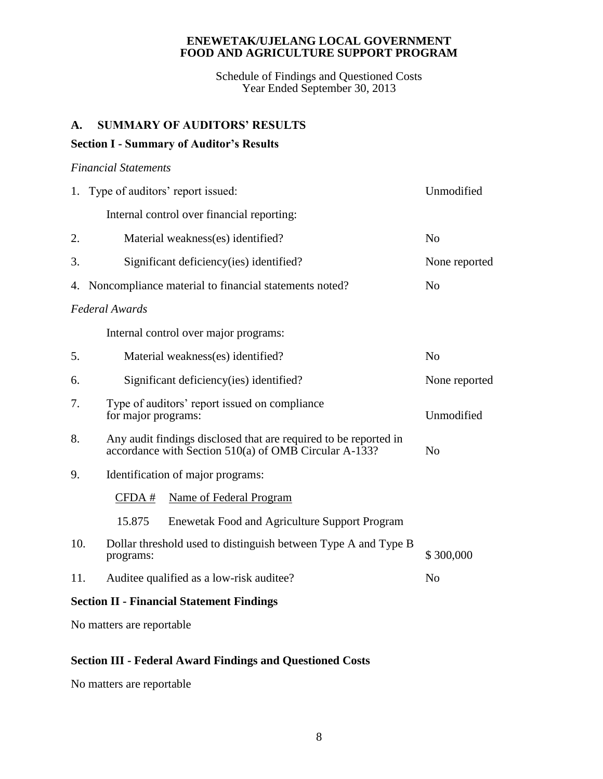Schedule of Findings and Questioned Costs Year Ended September 30, 2013

# **A. SUMMARY OF AUDITORS' RESULTS**

# **Section I - Summary of Auditor's Results**

## *Financial Statements*

|                                                  | 1. Type of auditors' report issued:                                                                                       | Unmodified     |  |  |
|--------------------------------------------------|---------------------------------------------------------------------------------------------------------------------------|----------------|--|--|
|                                                  | Internal control over financial reporting:                                                                                |                |  |  |
| 2.                                               | Material weakness(es) identified?                                                                                         | N <sub>o</sub> |  |  |
| 3.                                               | Significant deficiency (ies) identified?                                                                                  | None reported  |  |  |
| 4.                                               | Noncompliance material to financial statements noted?                                                                     | N <sub>o</sub> |  |  |
|                                                  | <b>Federal Awards</b>                                                                                                     |                |  |  |
|                                                  | Internal control over major programs:                                                                                     |                |  |  |
| 5.                                               | Material weakness(es) identified?                                                                                         | N <sub>0</sub> |  |  |
| 6.                                               | Significant deficiency(ies) identified?                                                                                   | None reported  |  |  |
| 7.                                               | Type of auditors' report issued on compliance<br>for major programs:                                                      | Unmodified     |  |  |
| 8.                                               | Any audit findings disclosed that are required to be reported in<br>accordance with Section 510(a) of OMB Circular A-133? | N <sub>o</sub> |  |  |
| 9.                                               | Identification of major programs:                                                                                         |                |  |  |
|                                                  | <b>Name of Federal Program</b><br>CFDA #                                                                                  |                |  |  |
|                                                  | 15.875<br><b>Enewetak Food and Agriculture Support Program</b>                                                            |                |  |  |
| 10.                                              | Dollar threshold used to distinguish between Type A and Type B<br>programs:                                               | \$300,000      |  |  |
| 11.                                              | Auditee qualified as a low-risk auditee?                                                                                  | N <sub>o</sub> |  |  |
| <b>Section II - Financial Statement Findings</b> |                                                                                                                           |                |  |  |

No matters are reportable

# **Section III - Federal Award Findings and Questioned Costs**

No matters are reportable